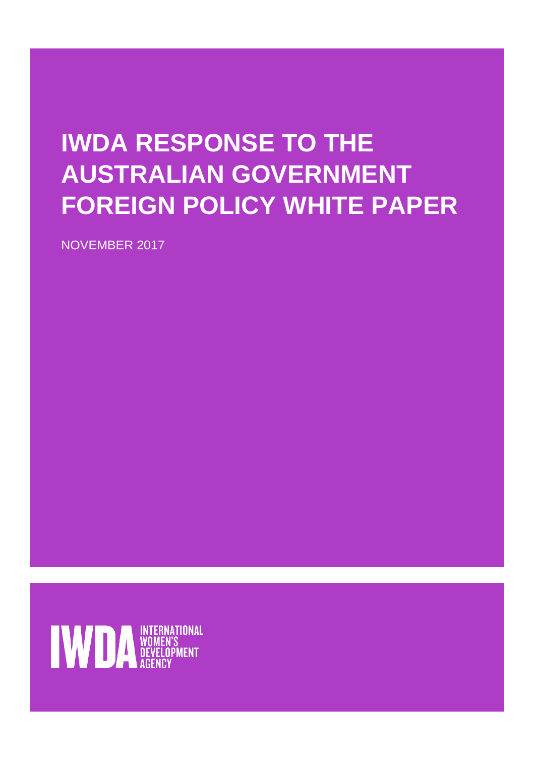## **IWDA RESPONSE TO THE AUSTRALIAN GOVERNMENT FOREIGN POLICY WHITE PAPER**

NOVEMBER 2017

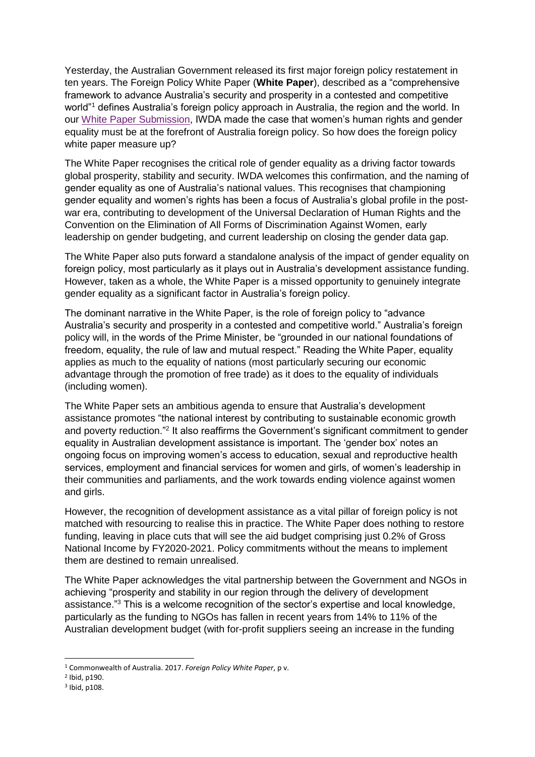Yesterday, the Australian Government released its first major foreign policy restatement in ten years. The Foreign Policy White Paper (**White Paper**), described as a "comprehensive framework to advance Australia's security and prosperity in a contested and competitive world"<sup>1</sup> defines Australia's foreign policy approach in Australia, the region and the world. In our [White Paper Submission,](https://iwda.org.au/assets/files/IWDA-Submission-DFAT-Foreign-Policy-White-Paper-2017.pdf) IWDA made the case that women's human rights and gender equality must be at the forefront of Australia foreign policy. So how does the foreign policy white paper measure up?

The White Paper recognises the critical role of gender equality as a driving factor towards global prosperity, stability and security. IWDA welcomes this confirmation, and the naming of gender equality as one of Australia's national values. This recognises that championing gender equality and women's rights has been a focus of Australia's global profile in the postwar era, contributing to development of the Universal Declaration of Human Rights and the Convention on the Elimination of All Forms of Discrimination Against Women, early leadership on gender budgeting, and current leadership on closing the gender data gap.

The White Paper also puts forward a standalone analysis of the impact of gender equality on foreign policy, most particularly as it plays out in Australia's development assistance funding. However, taken as a whole, the White Paper is a missed opportunity to genuinely integrate gender equality as a significant factor in Australia's foreign policy.

The dominant narrative in the White Paper, is the role of foreign policy to "advance Australia's security and prosperity in a contested and competitive world." Australia's foreign policy will, in the words of the Prime Minister, be "grounded in our national foundations of freedom, equality, the rule of law and mutual respect." Reading the White Paper, equality applies as much to the equality of nations (most particularly securing our economic advantage through the promotion of free trade) as it does to the equality of individuals (including women).

The White Paper sets an ambitious agenda to ensure that Australia's development assistance promotes "the national interest by contributing to sustainable economic growth and poverty reduction."<sup>2</sup> It also reaffirms the Government's significant commitment to gender equality in Australian development assistance is important. The 'gender box' notes an ongoing focus on improving women's access to education, sexual and reproductive health services, employment and financial services for women and girls, of women's leadership in their communities and parliaments, and the work towards ending violence against women and girls.

However, the recognition of development assistance as a vital pillar of foreign policy is not matched with resourcing to realise this in practice. The White Paper does nothing to restore funding, leaving in place cuts that will see the aid budget comprising just 0.2% of Gross National Income by FY2020-2021. Policy commitments without the means to implement them are destined to remain unrealised.

The White Paper acknowledges the vital partnership between the Government and NGOs in achieving "prosperity and stability in our region through the delivery of development assistance." <sup>3</sup> This is a welcome recognition of the sector's expertise and local knowledge, particularly as the funding to NGOs has fallen in recent years from 14% to 11% of the Australian development budget (with for-profit suppliers seeing an increase in the funding

-

<sup>1</sup> Commonwealth of Australia. 2017. *Foreign Policy White Paper*, p v.

<sup>2</sup> Ibid, p190.

<sup>3</sup> Ibid, p108.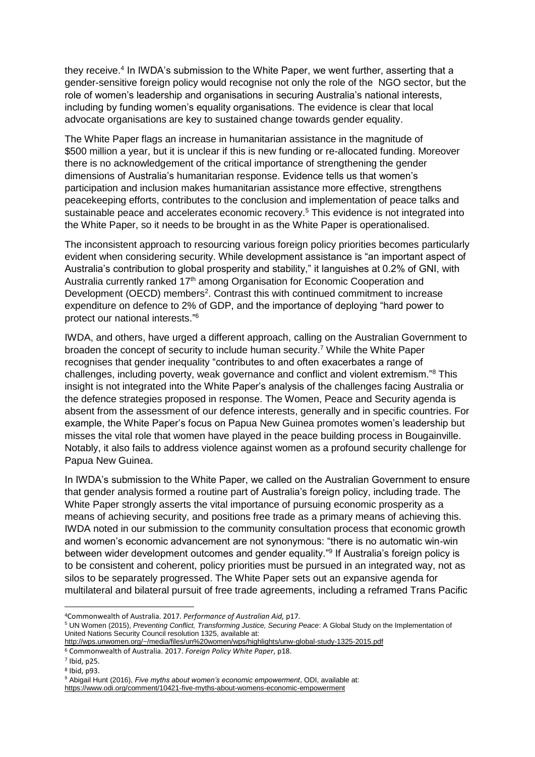they receive.<sup>4</sup> In IWDA's submission to the White Paper, we went further, asserting that a gender-sensitive foreign policy would recognise not only the role of the NGO sector, but the role of women's leadership and organisations in securing Australia's national interests, including by funding women's equality organisations. The evidence is clear that local advocate organisations are key to sustained change towards gender equality.

The White Paper flags an increase in humanitarian assistance in the magnitude of \$500 million a year, but it is unclear if this is new funding or re-allocated funding. Moreover there is no acknowledgement of the critical importance of strengthening the gender dimensions of Australia's humanitarian response. Evidence tells us that women's participation and inclusion makes humanitarian assistance more effective, strengthens peacekeeping efforts, contributes to the conclusion and implementation of peace talks and sustainable peace and accelerates economic recovery. <sup>5</sup> This evidence is not integrated into the White Paper, so it needs to be brought in as the White Paper is operationalised.

The inconsistent approach to resourcing various foreign policy priorities becomes particularly evident when considering security. While development assistance is "an important aspect of Australia's contribution to global prosperity and stability," it languishes at 0.2% of GNI, with Australia currently ranked 17<sup>th</sup> among Organisation for Economic Cooperation and Development (OECD) members<sup>2</sup>. Contrast this with continued commitment to increase expenditure on defence to 2% of GDP, and the importance of deploying "hard power to protect our national interests." 6

IWDA, and others, have urged a different approach, calling on the Australian Government to broaden the concept of security to include human security. <sup>7</sup> While the White Paper recognises that gender inequality "contributes to and often exacerbates a range of challenges, including poverty, weak governance and conflict and violent extremism."<sup>8</sup> This insight is not integrated into the White Paper's analysis of the challenges facing Australia or the defence strategies proposed in response. The Women, Peace and Security agenda is absent from the assessment of our defence interests, generally and in specific countries. For example, the White Paper's focus on Papua New Guinea promotes women's leadership but misses the vital role that women have played in the peace building process in Bougainville. Notably, it also fails to address violence against women as a profound security challenge for Papua New Guinea.

In IWDA's submission to the White Paper, we called on the Australian Government to ensure that gender analysis formed a routine part of Australia's foreign policy, including trade. The White Paper strongly asserts the vital importance of pursuing economic prosperity as a means of achieving security, and positions free trade as a primary means of achieving this. IWDA noted in our submission to the community consultation process that economic growth and women's economic advancement are not synonymous: "there is no automatic win-win between wider development outcomes and gender equality."<sup>9</sup> If Australia's foreign policy is to be consistent and coherent, policy priorities must be pursued in an integrated way, not as silos to be separately progressed. The White Paper sets out an expansive agenda for multilateral and bilateral pursuit of free trade agreements, including a reframed Trans Pacific

<sup>6</sup> Commonwealth of Australia. 2017. *Foreign Policy White Paper*, p18.

-

<sup>4</sup>Commonwealth of Australia. 2017. *Performance of Australian Aid,* p17.

<sup>5</sup> UN Women (2015), *Preventing Conflict, Transforming Justice, Securing Peace*: A Global Study on the Implementation of United Nations Security Council resolution 1325, available at:

<http://wps.unwomen.org/~/media/files/un%20women/wps/highlights/unw-global-study-1325-2015.pdf>

<sup>7</sup> Ibid, p25.

<sup>8</sup> Ibid, p93.

<sup>9</sup> Abigail Hunt (2016), *Five myths about women's economic empowerment*, ODI, available at:

<https://www.odi.org/comment/10421-five-myths-about-womens-economic-empowerment>